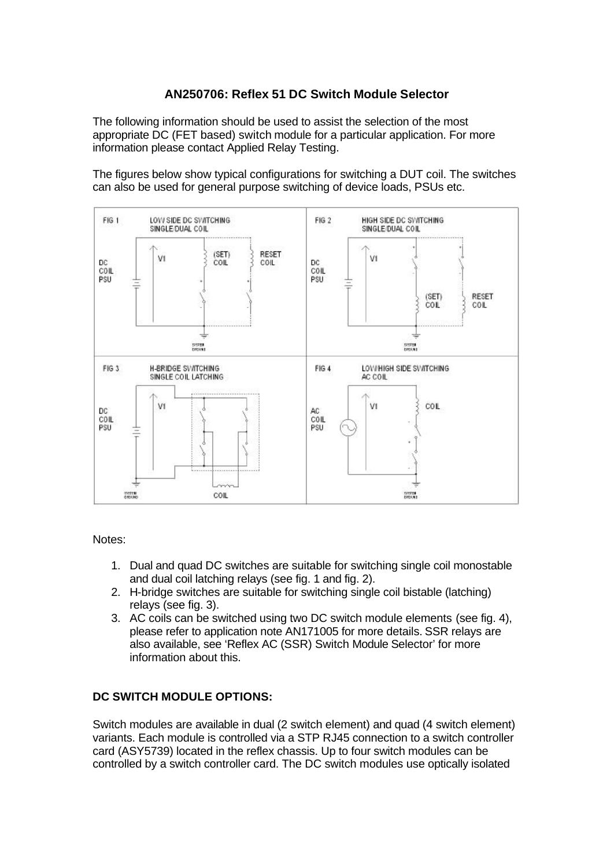## **AN250706: Reflex 51 DC Switch Module Selector**

The following information should be used to assist the selection of the most appropriate DC (FET based) switch module for a particular application. For more information please contact Applied Relay Testing.

The figures below show typical configurations for switching a DUT coil. The switches can also be used for general purpose switching of device loads, PSUs etc.



Notes:

- 1. Dual and quad DC switches are suitable for switching single coil monostable and dual coil latching relays (see fig. 1 and fig. 2).
- 2. H-bridge switches are suitable for switching single coil bistable (latching) relays (see fig. 3).
- 3. AC coils can be switched using two DC switch module elements (see fig. 4), please refer to application note AN171005 for more details. SSR relays are also available, see 'Reflex AC (SSR) Switch Module Selector' for more information about this.

## **DC SWITCH MODULE OPTIONS:**

Switch modules are available in dual (2 switch element) and quad (4 switch element) variants. Each module is controlled via a STP RJ45 connection to a switch controller card (ASY5739) located in the reflex chassis. Up to four switch modules can be controlled by a switch controller card. The DC switch modules use optically isolated